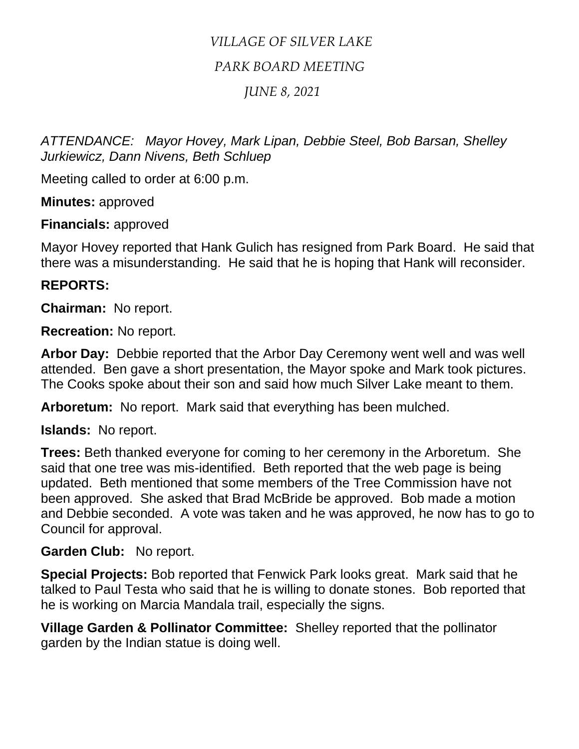# *VILLAGE OF SILVER LAKE*

# *PARK BOARD MEETING*

## *JUNE 8, 2021*

*ATTENDANCE: Mayor Hovey, Mark Lipan, Debbie Steel, Bob Barsan, Shelley Jurkiewicz, Dann Nivens, Beth Schluep*

Meeting called to order at 6:00 p.m.

**Minutes:** approved

**Financials:** approved

Mayor Hovey reported that Hank Gulich has resigned from Park Board. He said that there was a misunderstanding. He said that he is hoping that Hank will reconsider.

# **REPORTS:**

**Chairman:** No report.

**Recreation:** No report.

**Arbor Day:** Debbie reported that the Arbor Day Ceremony went well and was well attended. Ben gave a short presentation, the Mayor spoke and Mark took pictures. The Cooks spoke about their son and said how much Silver Lake meant to them.

**Arboretum:** No report. Mark said that everything has been mulched.

**Islands:** No report.

**Trees:** Beth thanked everyone for coming to her ceremony in the Arboretum. She said that one tree was mis-identified. Beth reported that the web page is being updated. Beth mentioned that some members of the Tree Commission have not been approved. She asked that Brad McBride be approved. Bob made a motion and Debbie seconded. A vote was taken and he was approved, he now has to go to Council for approval.

#### **Garden Club:** No report.

**Special Projects:** Bob reported that Fenwick Park looks great. Mark said that he talked to Paul Testa who said that he is willing to donate stones. Bob reported that he is working on Marcia Mandala trail, especially the signs.

**Village Garden & Pollinator Committee:** Shelley reported that the pollinator garden by the Indian statue is doing well.